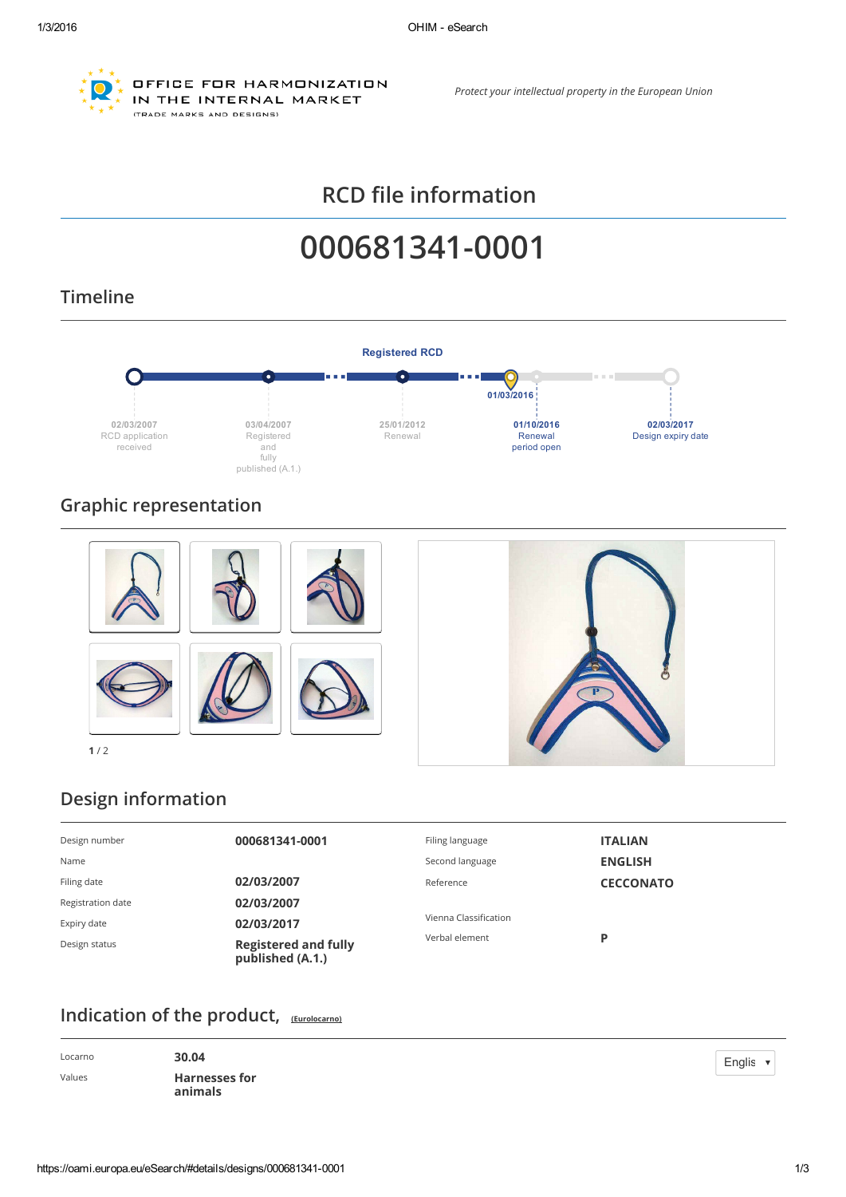

OFFICE FOR HARMONIZATION IN THE INTERNAL MARKET (TRADE MARKS AND DESIGNS)

*Protect your intellectual property in the European Union*

# RCD file information

# 000681341-0001

# Timeline



# Graphic representation



# Design information

| Design number     | 000681341-0001                                  | Filing language       | <b>ITALIAN</b>   |
|-------------------|-------------------------------------------------|-----------------------|------------------|
| Name              |                                                 | Second language       | <b>ENGLISH</b>   |
| Filing date       | 02/03/2007                                      | Reference             | <b>CECCONATO</b> |
| Registration date | 02/03/2007                                      |                       |                  |
| Expiry date       | 02/03/2017                                      | Vienna Classification |                  |
| Design status     | <b>Registered and fully</b><br>published (A.1.) | Verbal element        | P                |

#### Indication of the product, [\(Eurolocarno\)](https://oami.europa.eu/eurolocarno/)

| Locarno | 30.04                           |
|---------|---------------------------------|
| Values  | <b>Harnesses for</b><br>animals |

Englis  $\blacktriangledown$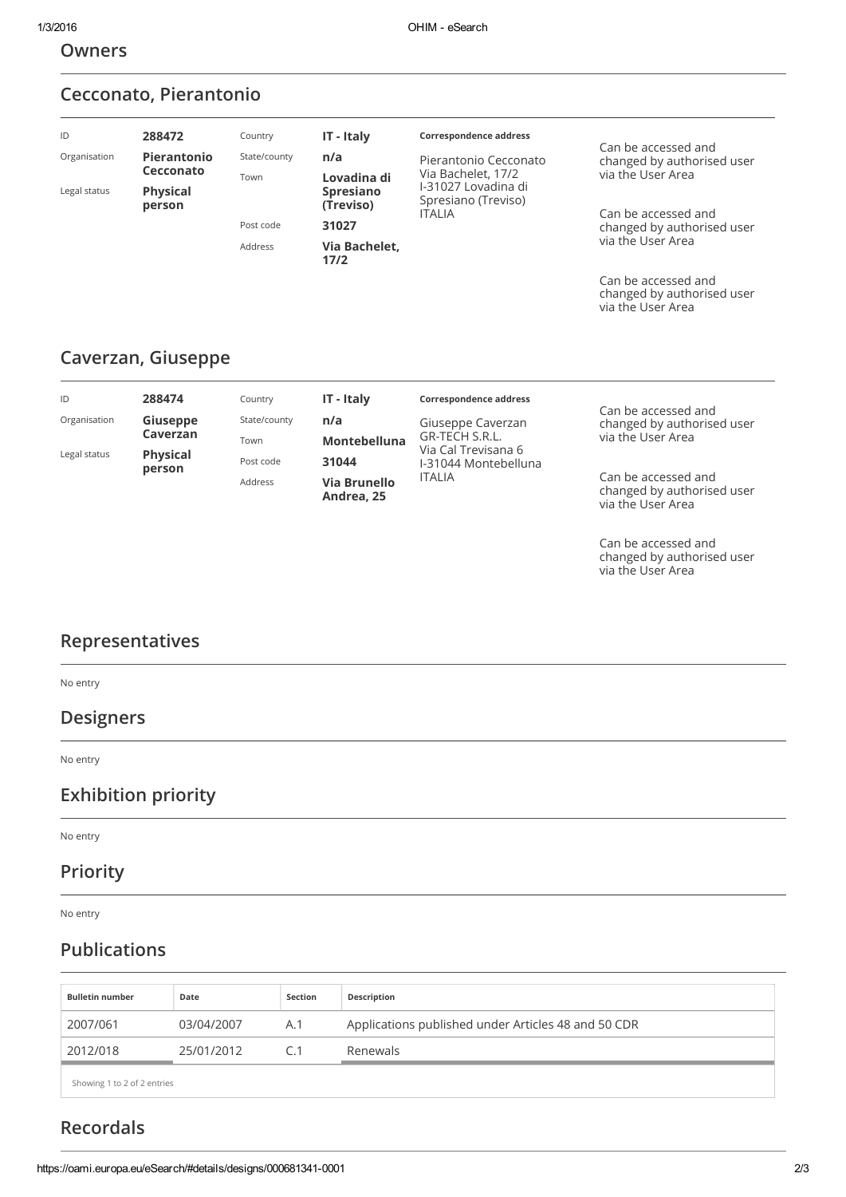#### Owners

# Cecconato, Pierantonio

| ID<br>Organisation               | 288472<br>Pierantonio<br>Cecconato | Country<br>State/county<br>Town | IT - Italy<br>n/a<br>Lovadina di       | Correspondence address<br>Pierantonio Cecconato<br>Via Bachelet, 17/2<br>I-31027 Lovadina di<br>Spresiano (Treviso)<br><b>ITALIA</b> | Can be accessed and<br>changed by authorised user<br>via the User Area |  |
|----------------------------------|------------------------------------|---------------------------------|----------------------------------------|--------------------------------------------------------------------------------------------------------------------------------------|------------------------------------------------------------------------|--|
| Legal status                     | <b>Physical</b><br>person          | Post code                       | <b>Spresiano</b><br>(Treviso)<br>31027 |                                                                                                                                      | Can be accessed and<br>changed by authorised user                      |  |
| Via Bachelet,<br>Address<br>17/2 |                                    | via the User Area               |                                        |                                                                                                                                      |                                                                        |  |
|                                  |                                    |                                 |                                        |                                                                                                                                      | Can be accessed and<br>changed by authorised user                      |  |

# Caverzan, Giuseppe

| ID           | 288474                    | Country      | IT - Italy                 | <b>Correspondence address</b>         |                                                                        |
|--------------|---------------------------|--------------|----------------------------|---------------------------------------|------------------------------------------------------------------------|
| Organisation | Giuseppe                  | State/county | n/a                        | Giuseppe Caverzan                     | Can be accessed and<br>changed by authorised user                      |
|              | Caverzan                  | Town         | <b>Montebelluna</b>        | GR-TECH S.R.L.<br>Via Cal Trevisana 6 | via the User Area                                                      |
| Legal status | <b>Physical</b><br>person | Post code    | 31044                      | I-31044 Montebelluna                  |                                                                        |
|              |                           | Address      | Via Brunello<br>Andrea, 25 | <b>ITALIA</b>                         | Can be accessed and<br>changed by authorised user<br>via the User Area |

Can be accessed and changed by authorised user via the User Area

via the User Area

# Representatives

No entry

#### Designers

No entry

#### Exhibition priority

No entry

#### Priority

No entry

# Publications

| <b>Bulletin number</b>      | Date       | Section | Description                                         |
|-----------------------------|------------|---------|-----------------------------------------------------|
| 2007/061                    | 03/04/2007 | A.1     | Applications published under Articles 48 and 50 CDR |
| 2012/018                    | 25/01/2012 | C.1     | Renewals                                            |
| Showing 1 to 2 of 2 entries |            |         |                                                     |

# Recordals